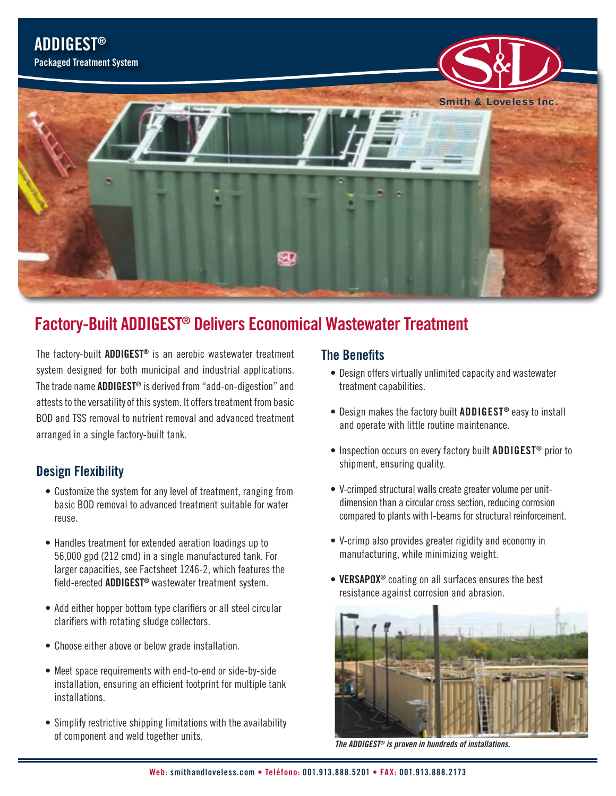

# **Factory-Built ADDIGEST® Delivers Economical Wastewater Treatment**

The factory-built **ADDIGEST®** is an aerobic wastewater treatment system designed for both municipal and industrial applications. The trade name **ADDIGEST®** is derived from "add-on-digestion" and attests to the versatility of this system. It offers treatment from basic BOD and TSS removal to nutrient removal and advanced treatment arranged in a single factory-built tank.

#### **Design Flexibility**

- Customize the system for any level of treatment, ranging from basic BOD removal to advanced treatment suitable for water reuse.
- Handles treatment for extended aeration loadings up to 56,000 gpd (212 cmd) in a single manufactured tank. For larger capacities, see Factsheet 1246-2, which features the field-erected **ADDIGEST®** wastewater treatment system.
- Add either hopper bottom type clarifiers or all steel circular clarifiers with rotating sludge collectors.
- Choose either above or below grade installation.
- Meet space requirements with end-to-end or side-by-side installation, ensuring an efficient footprint for multiple tank installations.
- Simplify restrictive shipping limitations with the availability of component and weld together units.

### **The Benefits**

- Design offers virtually unlimited capacity and wastewater treatment capabilities.
- Design makes the factory built **ADDIGEST®** easy to install and operate with little routine maintenance.
- Inspection occurs on every factory built **ADDIGEST®** prior to shipment, ensuring quality.
- V-crimped structural walls create greater volume per unitdimension than a circular cross section, reducing corrosion compared to plants with I-beams for structural reinforcement.
- V-crimp also provides greater rigidity and economy in manufacturing, while minimizing weight.
- **• VERSAPOX®** coating on all surfaces ensures the best resistance against corrosion and abrasion.



*The ADDIGEST® is proven in hundreds of installations.*